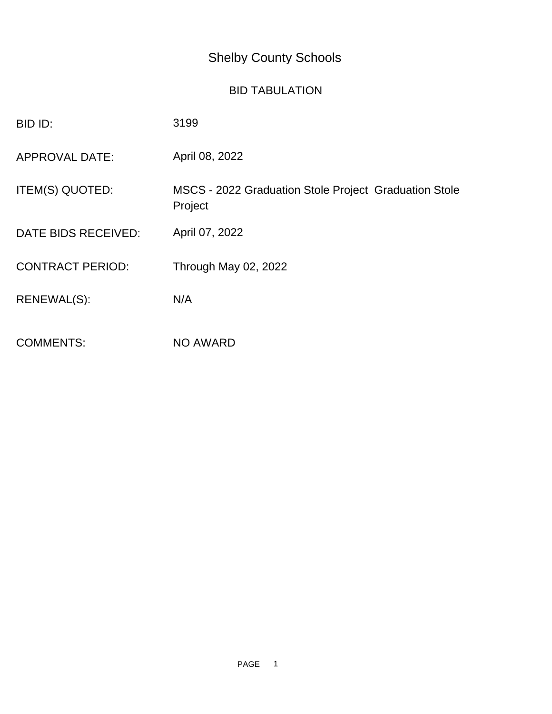## Shelby County Schools

## BID TABULATION

| BID ID:                 | 3199                                                             |
|-------------------------|------------------------------------------------------------------|
| <b>APPROVAL DATE:</b>   | April 08, 2022                                                   |
| ITEM(S) QUOTED:         | MSCS - 2022 Graduation Stole Project Graduation Stole<br>Project |
| DATE BIDS RECEIVED:     | April 07, 2022                                                   |
| <b>CONTRACT PERIOD:</b> | Through May 02, 2022                                             |
| RENEWAL(S):             | N/A                                                              |
| <b>COMMENTS:</b>        | <b>NO AWARD</b>                                                  |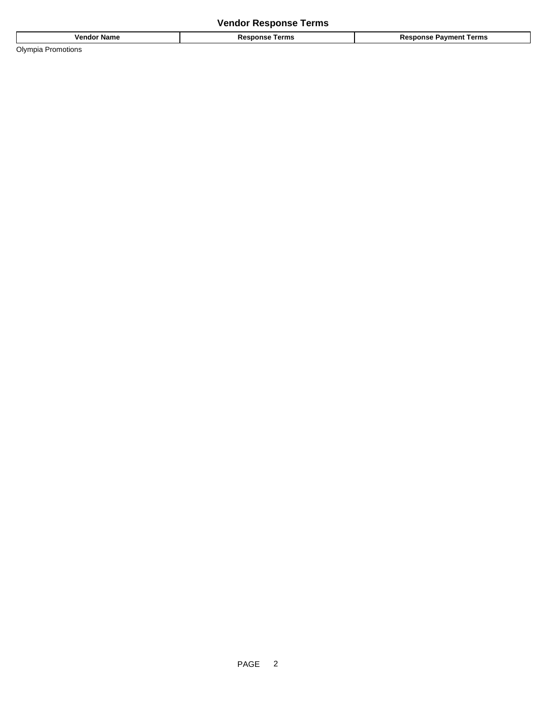| <b>Name</b><br>,,,,<br>enao          | .<br>erms<br>$\overline{\phantom{a}}$<br>. | `erm⊾<br>ment<br>$\sim$ |
|--------------------------------------|--------------------------------------------|-------------------------|
| Olvmpia<br>$1 - 1$<br><b>iotions</b> |                                            |                         |

PAGE 2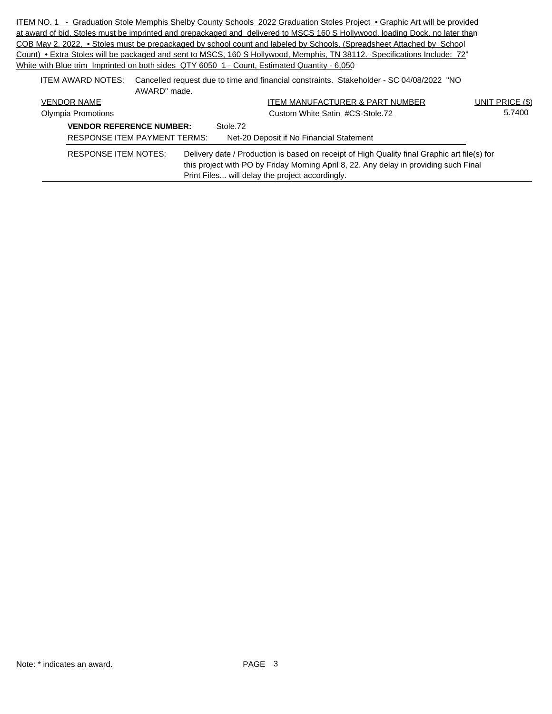ITEM NO. 1 - Graduation Stole Memphis Shelby County Schools 2022 Graduation Stoles Project • Graphic Art will be provided at award of bid. Stoles must be imprinted and prepackaged and delivered to MSCS 160 S Hollywood, loading Dock, no later than COB May 2, 2022. • Stoles must be prepackaged by school count and labeled by Schools. (Spreadsheet Attached by School Count) • Extra Stoles will be packaged and sent to MSCS, 160 S Hollywood, Memphis, TN 38112. Specifications Include: 72" White with Blue trim Imprinted on both sides QTY 6050 1 - Count, Estimated Quantity - 6,050 ITEM AWARD NOTES: Cancelled request due to time and financial constraints. Stakeholder - SC 04/08/2022 "NO

| AWARD" made.                        |                                                                                                                                                                                       |                 |
|-------------------------------------|---------------------------------------------------------------------------------------------------------------------------------------------------------------------------------------|-----------------|
| <b>VENDOR NAME</b>                  | ITEM MANUFACTURER & PART NUMBER                                                                                                                                                       | UNIT PRICE (\$) |
| Olympia Promotions                  | Custom White Satin #CS-Stole.72                                                                                                                                                       | 5.7400          |
| <b>VENDOR REFERENCE NUMBER:</b>     | Stole.72                                                                                                                                                                              |                 |
| <b>RESPONSE ITEM PAYMENT TERMS:</b> | Net-20 Deposit if No Financial Statement                                                                                                                                              |                 |
| <b>RESPONSE ITEM NOTES:</b>         | Delivery date / Production is based on receipt of High Quality final Graphic art file(s) for<br>this project with PO by Friday Morning April 8, 22. Any delay in providing such Final |                 |
|                                     | Print Files will delay the project accordingly.                                                                                                                                       |                 |